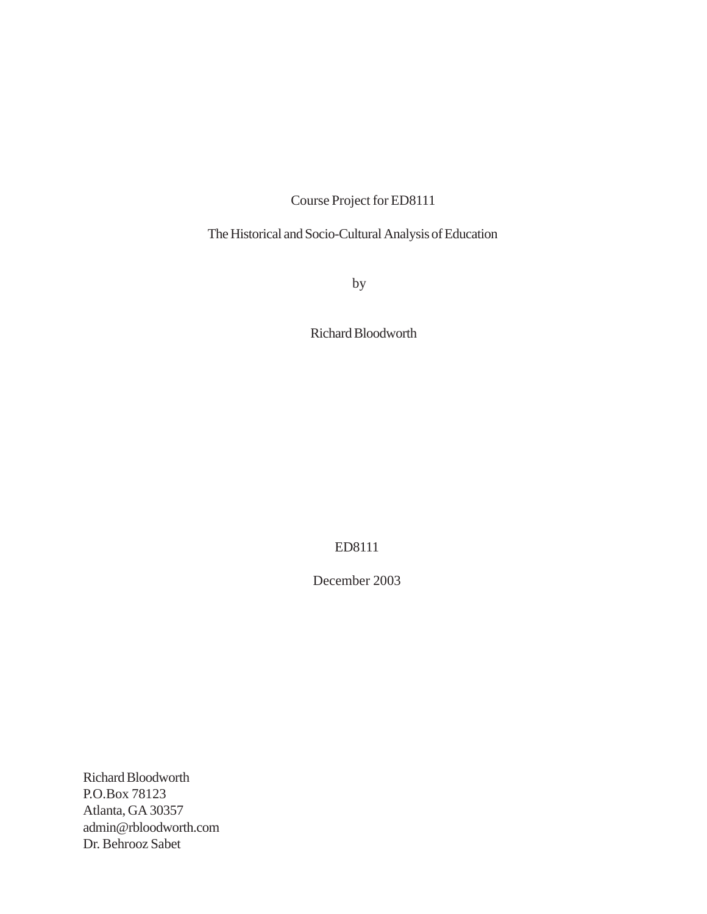Course Project for ED8111

The Historical and Socio-Cultural Analysis of Education

by

Richard Bloodworth

ED8111

December 2003

Richard Bloodworth P.O.Box 78123 Atlanta, GA 30357 admin@rbloodworth.com Dr. Behrooz Sabet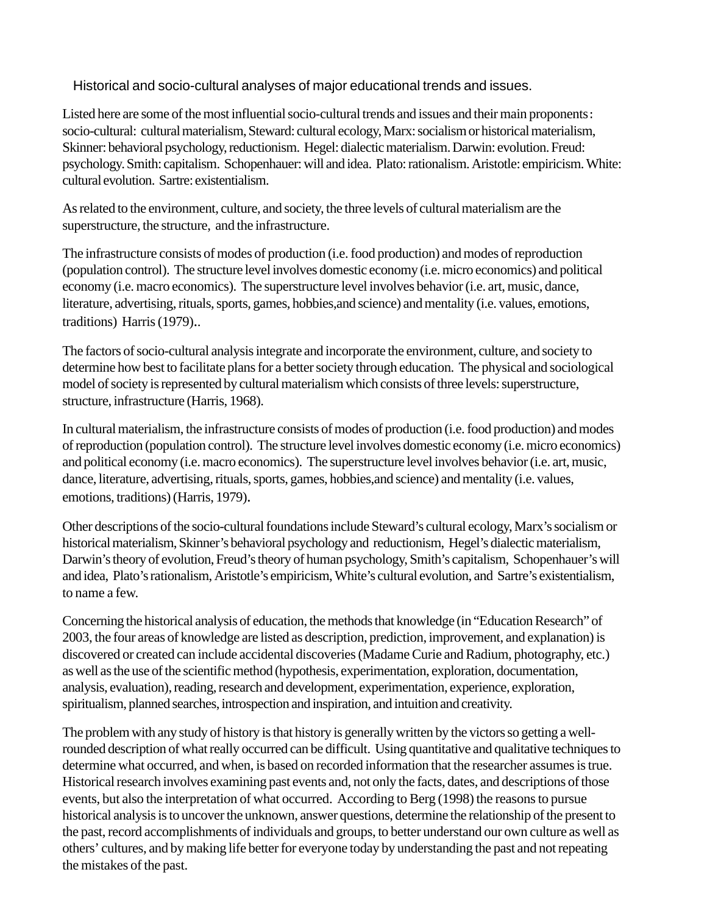Historical and socio-cultural analyses of major educational trends and issues.

Listed here are some of the most influential socio-cultural trends and issues and their main proponents: socio-cultural: cultural materialism, Steward: cultural ecology, Marx: socialism or historical materialism, Skinner: behavioral psychology, reductionism. Hegel: dialectic materialism. Darwin: evolution. Freud: psychology. Smith: capitalism. Schopenhauer: will and idea. Plato: rationalism. Aristotle: empiricism. White: cultural evolution. Sartre: existentialism.

As related to the environment, culture, and society, the three levels of cultural materialism are the superstructure, the structure, and the infrastructure.

The infrastructure consists of modes of production (i.e. food production) and modes of reproduction (population control). The structure level involves domestic economy (i.e. micro economics) and political economy (i.e. macro economics). The superstructure level involves behavior (i.e. art, music, dance, literature, advertising, rituals, sports, games, hobbies,and science) and mentality (i.e. values, emotions, traditions) Harris (1979)..

The factors of socio-cultural analysis integrate and incorporate the environment, culture, and society to determine how best to facilitate plans for a better society through education. The physical and sociological model of society is represented by cultural materialism which consists of three levels: superstructure, structure, infrastructure (Harris, 1968).

In cultural materialism, the infrastructure consists of modes of production (i.e. food production) and modes of reproduction (population control). The structure level involves domestic economy (i.e. micro economics) and political economy (i.e. macro economics). The superstructure level involves behavior (i.e. art, music, dance, literature, advertising, rituals, sports, games, hobbies,and science) and mentality (i.e. values, emotions, traditions) (Harris, 1979).

Other descriptions of the socio-cultural foundations include Steward's cultural ecology, Marx's socialism or historical materialism, Skinner's behavioral psychology and reductionism, Hegel's dialectic materialism, Darwin's theory of evolution, Freud's theory of human psychology, Smith's capitalism, Schopenhauer's will and idea, Plato's rationalism, Aristotle's empiricism, White's cultural evolution, and Sartre's existentialism, to name a few.

Concerning the historical analysis of education, the methods that knowledge (in "Education Research" of 2003, the four areas of knowledge are listed as description, prediction, improvement, and explanation) is discovered or created can include accidental discoveries (Madame Curie and Radium, photography, etc.) as well as the use of the scientific method (hypothesis, experimentation, exploration, documentation, analysis, evaluation), reading, research and development, experimentation, experience, exploration, spiritualism, planned searches, introspection and inspiration, and intuition and creativity.

The problem with any study of history is that history is generally written by the victors so getting a wellrounded description of what really occurred can be difficult. Using quantitative and qualitative techniques to determine what occurred, and when, is based on recorded information that the researcher assumes is true. Historical research involves examining past events and, not only the facts, dates, and descriptions of those events, but also the interpretation of what occurred. According to Berg (1998) the reasons to pursue historical analysis is to uncover the unknown, answer questions, determine the relationship of the present to the past, record accomplishments of individuals and groups, to better understand our own culture as well as others' cultures, and by making life better for everyone today by understanding the past and not repeating the mistakes of the past.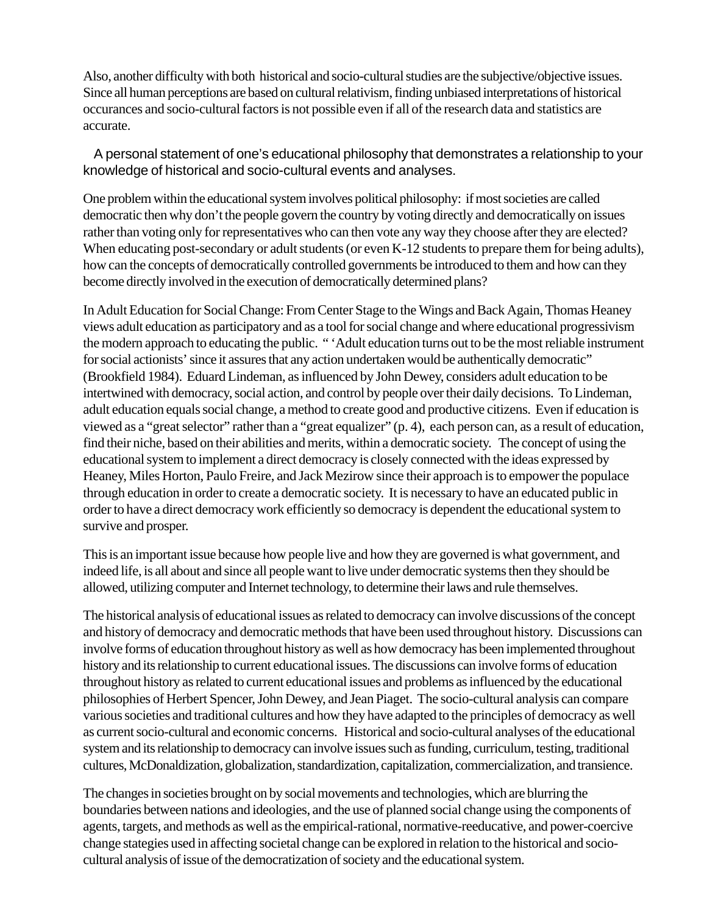Also, another difficulty with both historical and socio-cultural studies are the subjective/objective issues. Since all human perceptions are based on cultural relativism, finding unbiased interpretations of historical occurances and socio-cultural factors is not possible even if all of the research data and statistics are accurate.

A personal statement of one's educational philosophy that demonstrates a relationship to your knowledge of historical and socio-cultural events and analyses.

One problem within the educational system involves political philosophy: if most societies are called democratic then why don't the people govern the country by voting directly and democratically on issues rather than voting only for representatives who can then vote any way they choose after they are elected? When educating post-secondary or adult students (or even K-12 students to prepare them for being adults), how can the concepts of democratically controlled governments be introduced to them and how can they become directly involved in the execution of democratically determined plans?

In Adult Education for Social Change: From Center Stage to the Wings and Back Again, Thomas Heaney views adult education as participatory and as a tool for social change and where educational progressivism the modern approach to educating the public. " 'Adult education turns out to be the most reliable instrument for social actionists' since it assures that any action undertaken would be authentically democratic" (Brookfield 1984). Eduard Lindeman, as influenced by John Dewey, considers adult education to be intertwined with democracy, social action, and control by people over their daily decisions. To Lindeman, adult education equals social change, a method to create good and productive citizens. Even if education is viewed as a "great selector" rather than a "great equalizer" (p. 4), each person can, as a result of education, find their niche, based on their abilities and merits, within a democratic society. The concept of using the educational system to implement a direct democracy is closely connected with the ideas expressed by Heaney, Miles Horton, Paulo Freire, and Jack Mezirow since their approach is to empower the populace through education in order to create a democratic society. It is necessary to have an educated public in order to have a direct democracy work efficiently so democracy is dependent the educational system to survive and prosper.

This is an important issue because how people live and how they are governed is what government, and indeed life, is all about and since all people want to live under democratic systems then they should be allowed, utilizing computer and Internet technology, to determine their laws and rule themselves.

The historical analysis of educational issues as related to democracy can involve discussions of the concept and history of democracy and democratic methods that have been used throughout history. Discussions can involve forms of education throughout history as well as how democracy has been implemented throughout history and its relationship to current educational issues. The discussions can involve forms of education throughout history as related to current educational issues and problems as influenced by the educational philosophies of Herbert Spencer, John Dewey, and Jean Piaget. The socio-cultural analysis can compare various societies and traditional cultures and how they have adapted to the principles of democracy as well as current socio-cultural and economic concerns. Historical and socio-cultural analyses of the educational system and its relationship to democracy can involve issues such as funding, curriculum, testing, traditional cultures, McDonaldization, globalization, standardization, capitalization, commercialization, and transience.

The changes in societies brought on by social movements and technologies, which are blurring the boundaries between nations and ideologies, and the use of planned social change using the components of agents, targets, and methods as well as the empirical-rational, normative-reeducative, and power-coercive change stategies used in affecting societal change can be explored in relation to the historical and sociocultural analysis of issue of the democratization of society and the educational system.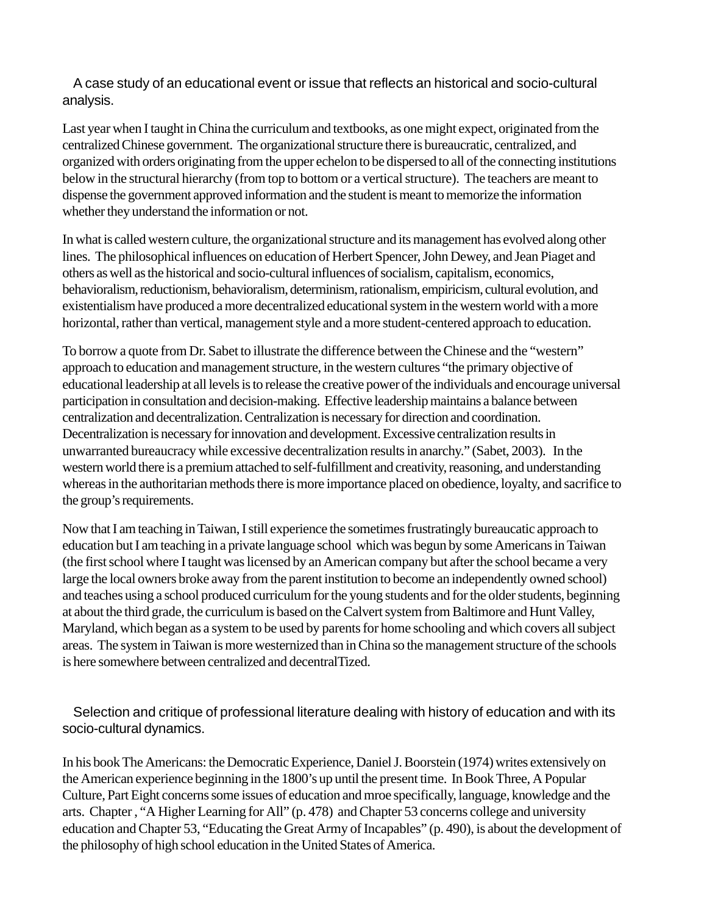A case study of an educational event or issue that reflects an historical and socio-cultural analysis.

Last year when I taught in China the curriculum and textbooks, as one might expect, originated from the centralized Chinese government. The organizational structure there is bureaucratic, centralized, and organized with orders originating from the upper echelon to be dispersed to all of the connecting institutions below in the structural hierarchy (from top to bottom or a vertical structure). The teachers are meant to dispense the government approved information and the student is meant to memorize the information whether they understand the information or not.

In what is called western culture, the organizational structure and its management has evolved along other lines. The philosophical influences on education of Herbert Spencer, John Dewey, and Jean Piaget and others as well as the historical and socio-cultural influences of socialism, capitalism, economics, behavioralism, reductionism, behavioralism, determinism, rationalism, empiricism, cultural evolution, and existentialism have produced a more decentralized educational system in the western world with a more horizontal, rather than vertical, management style and a more student-centered approach to education.

To borrow a quote from Dr. Sabet to illustrate the difference between the Chinese and the "western" approach to education and management structure, in the western cultures "the primary objective of educational leadership at all levels is to release the creative power of the individuals and encourage universal participation in consultation and decision-making. Effective leadership maintains a balance between centralization and decentralization. Centralization is necessary for direction and coordination. Decentralization is necessary for innovation and development. Excessive centralization results in unwarranted bureaucracy while excessive decentralization results in anarchy." (Sabet, 2003). In the western world there is a premium attached to self-fulfillment and creativity, reasoning, and understanding whereas in the authoritarian methods there is more importance placed on obedience, loyalty, and sacrifice to the group's requirements.

Now that I am teaching in Taiwan, I still experience the sometimes frustratingly bureaucatic approach to education but I am teaching in a private language school which was begun by some Americans in Taiwan (the first school where I taught was licensed by an American company but after the school became a very large the local owners broke away from the parent institution to become an independently owned school) and teaches using a school produced curriculum for the young students and for the older students, beginning at about the third grade, the curriculum is based on the Calvert system from Baltimore and Hunt Valley, Maryland, which began as a system to be used by parents for home schooling and which covers all subject areas. The system in Taiwan is more westernized than in China so the management structure of the schools is here somewhere between centralized and decentralTized.

Selection and critique of professional literature dealing with history of education and with its socio-cultural dynamics.

In his book The Americans: the Democratic Experience, Daniel J. Boorstein (1974) writes extensively on the American experience beginning in the 1800's up until the present time. In Book Three, A Popular Culture, Part Eight concerns some issues of education and mroe specifically, language, knowledge and the arts. Chapter , "A Higher Learning for All" (p. 478) and Chapter 53 concerns college and university education and Chapter 53, "Educating the Great Army of Incapables" (p. 490), is about the development of the philosophy of high school education in the United States of America.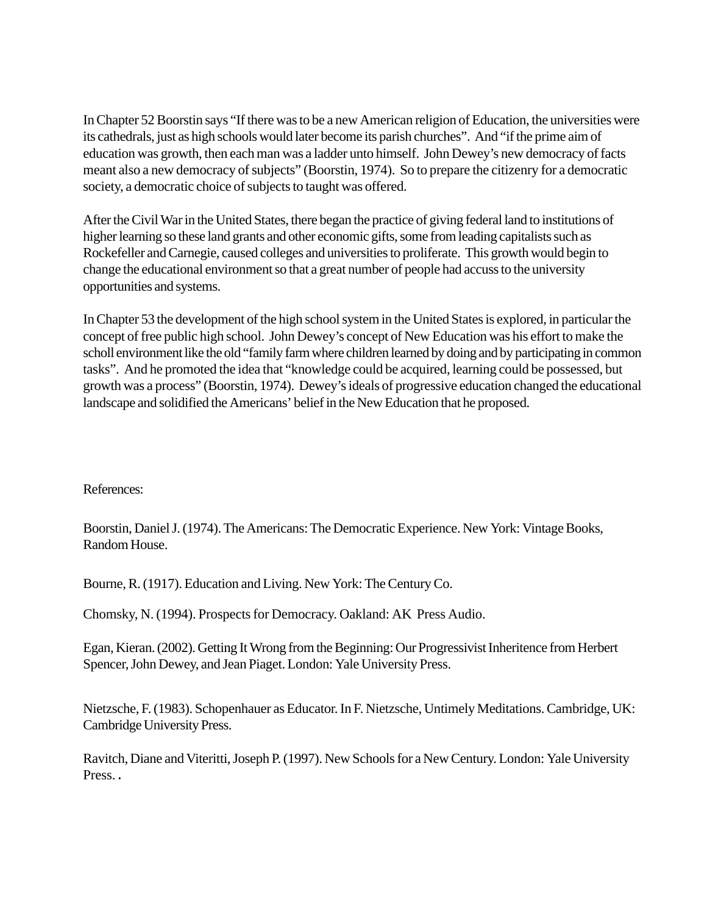In Chapter 52 Boorstin says "If there was to be a new American religion of Education, the universities were its cathedrals, just as high schools would later become its parish churches". And "if the prime aim of education was growth, then each man was a ladder unto himself. John Dewey's new democracy of facts meant also a new democracy of subjects" (Boorstin, 1974). So to prepare the citizenry for a democratic society, a democratic choice of subjects to taught was offered.

After the Civil War in the United States, there began the practice of giving federal land to institutions of higher learning so these land grants and other economic gifts, some from leading capitalists such as Rockefeller and Carnegie, caused colleges and universities to proliferate. This growth would begin to change the educational environment so that a great number of people had accuss to the university opportunities and systems.

In Chapter 53 the development of the high school system in the United States is explored, in particular the concept of free public high school. John Dewey's concept of New Education was his effort to make the scholl environment like the old "family farm where children learned by doing and by participating in common tasks". And he promoted the idea that "knowledge could be acquired, learning could be possessed, but growth was a process" (Boorstin, 1974). Dewey's ideals of progressive education changed the educational landscape and solidified the Americans' belief in the New Education that he proposed.

## References:

Boorstin, Daniel J. (1974). The Americans: The Democratic Experience. New York: Vintage Books, Random House.

Bourne, R. (1917). Education and Living. New York: The Century Co.

Chomsky, N. (1994). Prospects for Democracy. Oakland: AK Press Audio.

Egan, Kieran. (2002). Getting It Wrong from the Beginning: Our Progressivist Inheritence from Herbert Spencer, John Dewey, and Jean Piaget. London: Yale University Press.

Nietzsche, F. (1983). Schopenhauer as Educator. In F. Nietzsche, Untimely Meditations. Cambridge, UK: Cambridge University Press.

Ravitch, Diane and Viteritti, Joseph P. (1997). New Schools for a New Century. London: Yale University Press..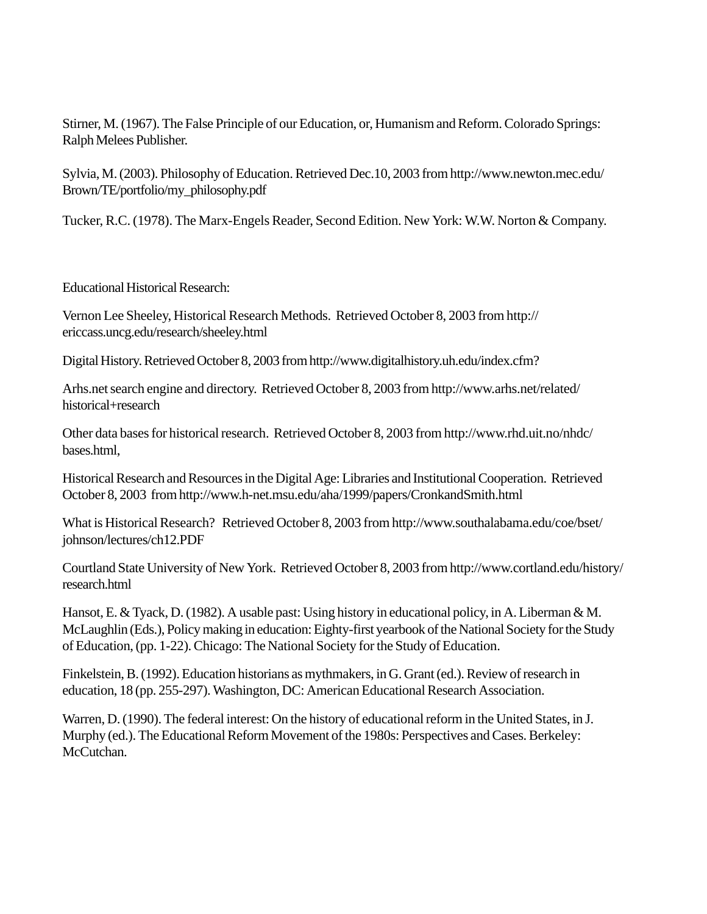Stirner, M. (1967). The False Principle of our Education, or, Humanism and Reform. Colorado Springs: Ralph Melees Publisher.

Sylvia, M. (2003). Philosophy of Education. Retrieved Dec.10, 2003 from http://www.newton.mec.edu/ Brown/TE/portfolio/my\_philosophy.pdf

Tucker, R.C. (1978). The Marx-Engels Reader, Second Edition. New York: W.W. Norton & Company.

Educational Historical Research:

Vernon Lee Sheeley, Historical Research Methods. Retrieved October 8, 2003 from http:// ericcass.uncg.edu/research/sheeley.html

Digital History. Retrieved October 8, 2003 from http://www.digitalhistory.uh.edu/index.cfm?

Arhs.net search engine and directory. Retrieved October 8, 2003 from http://www.arhs.net/related/ historical+research

Other data bases for historical research. Retrieved October 8, 2003 from http://www.rhd.uit.no/nhdc/ bases.html,

Historical Research and Resources in the Digital Age: Libraries and Institutional Cooperation. Retrieved October 8, 2003 from http://www.h-net.msu.edu/aha/1999/papers/CronkandSmith.html

What is Historical Research? Retrieved October 8, 2003 from http://www.southalabama.edu/coe/bset/ johnson/lectures/ch12.PDF

Courtland State University of New York. Retrieved October 8, 2003 from http://www.cortland.edu/history/ research.html

Hansot, E. & Tyack, D. (1982). A usable past: Using history in educational policy, in A. Liberman & M. McLaughlin (Eds.), Policy making in education: Eighty-first yearbook of the National Society for the Study of Education, (pp. 1-22). Chicago: The National Society for the Study of Education.

Finkelstein, B. (1992). Education historians as mythmakers, in G. Grant (ed.). Review of research in education, 18 (pp. 255-297). Washington, DC: American Educational Research Association.

Warren, D. (1990). The federal interest: On the history of educational reform in the United States, in J. Murphy (ed.). The Educational Reform Movement of the 1980s: Perspectives and Cases. Berkeley: McCutchan.